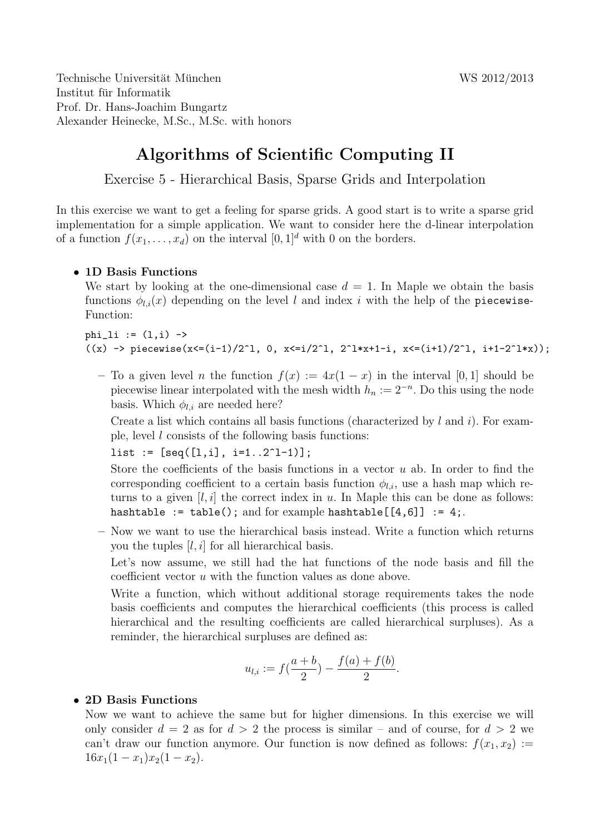Technische Universität München von der Einstellung von der WS 2012/2013 Institut fur Informatik ¨ Prof. Dr. Hans-Joachim Bungartz Alexander Heinecke, M.Sc., M.Sc. with honors

# Algorithms of Scientific Computing II

Exercise 5 - Hierarchical Basis, Sparse Grids and Interpolation

In this exercise we want to get a feeling for sparse grids. A good start is to write a sparse grid implementation for a simple application. We want to consider here the d-linear interpolation of a function  $f(x_1, \ldots, x_d)$  on the interval  $[0, 1]^d$  with 0 on the borders.

## • 1D Basis Functions

We start by looking at the one-dimensional case  $d = 1$ . In Maple we obtain the basis functions  $\phi_{l,i}(x)$  depending on the level l and index i with the help of the piecewise-Function:

## $phi\_li := (1, i)$  ->  $((x) \rightarrow piecewise(x<=(i-1)/2^1, 0, x<=i/2^1, 2^1*x+1-i, x<=(i+1)/2^1, i+1-2^1*x));$

– To a given level n the function  $f(x) := 4x(1-x)$  in the interval [0, 1] should be piecewise linear interpolated with the mesh width  $h_n := 2^{-n}$ . Do this using the node basis. Which  $\phi_{l,i}$  are needed here?

Create a list which contains all basis functions (characterized by  $l$  and  $i$ ). For example, level  $l$  consists of the following basis functions:

 $list := [seq([1, i], i=1..2^1-1)];$ 

Store the coefficients of the basis functions in a vector  $u$  ab. In order to find the corresponding coefficient to a certain basis function  $\phi_{l,i}$ , use a hash map which returns to a given  $[l, i]$  the correct index in u. In Maple this can be done as follows: hashtable := table(); and for example hashtable $[[4,6]]$  := 4;.

– Now we want to use the hierarchical basis instead. Write a function which returns you the tuples  $[l, i]$  for all hierarchical basis.

Let's now assume, we still had the hat functions of the node basis and fill the coefficient vector u with the function values as done above.

Write a function, which without additional storage requirements takes the node basis coefficients and computes the hierarchical coefficients (this process is called hierarchical and the resulting coefficients are called hierarchical surpluses). As a reminder, the hierarchical surpluses are defined as:

$$
u_{l,i} := f(\frac{a+b}{2}) - \frac{f(a) + f(b)}{2}.
$$

### • 2D Basis Functions

Now we want to achieve the same but for higher dimensions. In this exercise we will only consider  $d = 2$  as for  $d > 2$  the process is similar – and of course, for  $d > 2$  we can't draw our function anymore. Our function is now defined as follows:  $f(x_1, x_2) :=$  $16x_1(1-x_1)x_2(1-x_2).$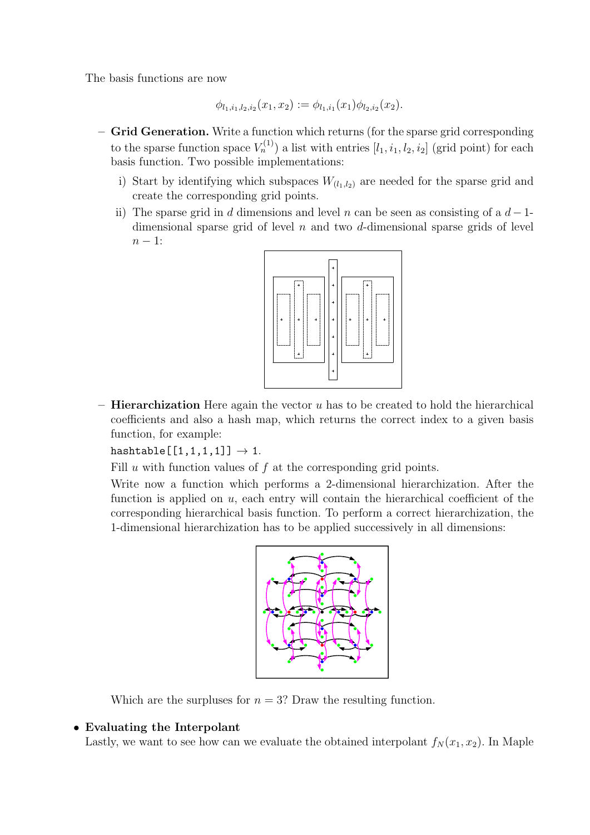The basis functions are now

$$
\phi_{l_1,i_1,l_2,i_2}(x_1,x_2) := \phi_{l_1,i_1}(x_1)\phi_{l_2,i_2}(x_2).
$$

- Grid Generation. Write a function which returns (for the sparse grid corresponding to the sparse function space  $V_n^{(1)}$ ) a list with entries  $[l_1, i_1, l_2, i_2]$  (grid point) for each basis function. Two possible implementations:
	- i) Start by identifying which subspaces  $W_{(l_1,l_2)}$  are needed for the sparse grid and create the corresponding grid points.
	- ii) The sparse grid in d dimensions and level n can be seen as consisting of a  $d-1$ dimensional sparse grid of level  $n$  and two  $d$ -dimensional sparse grids of level  $n - 1$ :



 $-$  Hierarchization Here again the vector u has to be created to hold the hierarchical coefficients and also a hash map, which returns the correct index to a given basis function, for example:

hashtable $[[1,1,1,1]] \rightarrow 1$ .

Fill u with function values of  $f$  at the corresponding grid points.

Write now a function which performs a 2-dimensional hierarchization. After the function is applied on u, each entry will contain the hierarchical coefficient of the corresponding hierarchical basis function. To perform a correct hierarchization, the 1-dimensional hierarchization has to be applied successively in all dimensions:



Which are the surpluses for  $n = 3$ ? Draw the resulting function.

### • Evaluating the Interpolant

Lastly, we want to see how can we evaluate the obtained interpolant  $f_N(x_1, x_2)$ . In Maple